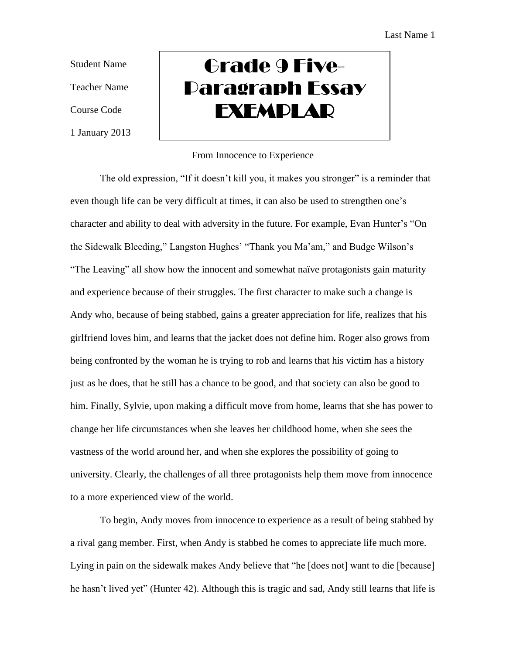Student Name Teacher Name Course Code 1 January 2013

## Grade 9 Five-Paragraph Essay **EXEMPLAR**

## From Innocence to Experience

The old expression, "If it doesn't kill you, it makes you stronger" is a reminder that even though life can be very difficult at times, it can also be used to strengthen one's character and ability to deal with adversity in the future. For example, Evan Hunter's "On the Sidewalk Bleeding," Langston Hughes' "Thank you Ma'am," and Budge Wilson's "The Leaving" all show how the innocent and somewhat naïve protagonists gain maturity and experience because of their struggles. The first character to make such a change is Andy who, because of being stabbed, gains a greater appreciation for life, realizes that his girlfriend loves him, and learns that the jacket does not define him. Roger also grows from being confronted by the woman he is trying to rob and learns that his victim has a history just as he does, that he still has a chance to be good, and that society can also be good to him. Finally, Sylvie, upon making a difficult move from home, learns that she has power to change her life circumstances when she leaves her childhood home, when she sees the vastness of the world around her, and when she explores the possibility of going to university. Clearly, the challenges of all three protagonists help them move from innocence to a more experienced view of the world.

To begin, Andy moves from innocence to experience as a result of being stabbed by a rival gang member. First, when Andy is stabbed he comes to appreciate life much more. Lying in pain on the sidewalk makes Andy believe that "he [does not] want to die [because] he hasn't lived yet" (Hunter 42). Although this is tragic and sad, Andy still learns that life is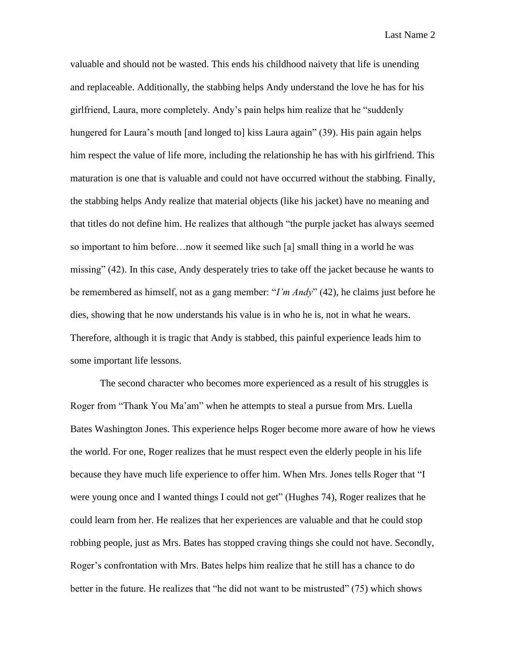Last Name 2

valuable and should not be wasted. This ends his childhood naivety that life is unending and replaceable. Additionally, the stabbing helps Andy understand the love he has for his girlfriend, Laura, more completely. Andy's pain helps him realize that he "suddenly hungered for Laura's mouth [and longed to] kiss Laura again" (39). His pain again helps him respect the value of life more, including the relationship he has with his girlfriend. This maturation is one that is valuable and could not have occurred without the stabbing. Finally, the stabbing helps Andy realize that material objects (like his jacket) have no meaning and that titles do not define him. He realizes that although "the purple jacket has always seemed so important to him before…now it seemed like such [a] small thing in a world he was missing" (42). In this case, Andy desperately tries to take off the jacket because he wants to be remembered as himself, not as a gang member: "*I'm Andy*" (42), he claims just before he dies, showing that he now understands his value is in who he is, not in what he wears. Therefore, although it is tragic that Andy is stabbed, this painful experience leads him to some important life lessons.

The second character who becomes more experienced as a result of his struggles is Roger from "Thank You Ma'am" when he attempts to steal a pursue from Mrs. Luella Bates Washington Jones. This experience helps Roger become more aware of how he views the world. For one, Roger realizes that he must respect even the elderly people in his life because they have much life experience to offer him. When Mrs. Jones tells Roger that "I were young once and I wanted things I could not get" (Hughes 74), Roger realizes that he could learn from her. He realizes that her experiences are valuable and that he could stop robbing people, just as Mrs. Bates has stopped craving things she could not have. Secondly, Roger's confrontation with Mrs. Bates helps him realize that he still has a chance to do better in the future. He realizes that "he did not want to be mistrusted" (75) which shows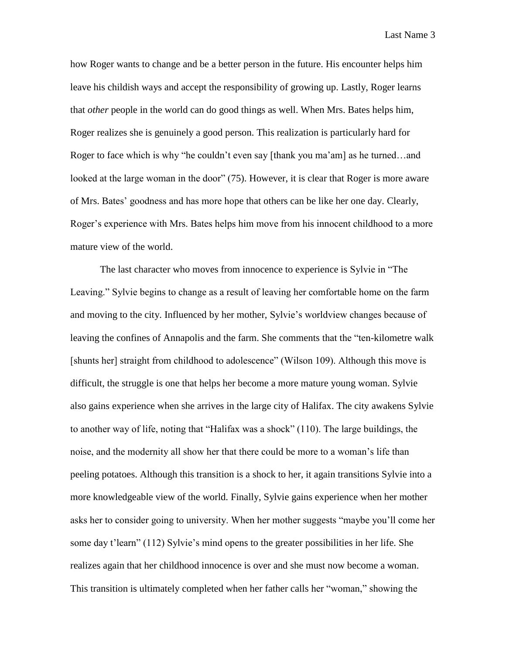Last Name 3

how Roger wants to change and be a better person in the future. His encounter helps him leave his childish ways and accept the responsibility of growing up. Lastly, Roger learns that *other* people in the world can do good things as well. When Mrs. Bates helps him, Roger realizes she is genuinely a good person. This realization is particularly hard for Roger to face which is why "he couldn't even say [thank you ma'am] as he turned…and looked at the large woman in the door" (75). However, it is clear that Roger is more aware of Mrs. Bates' goodness and has more hope that others can be like her one day. Clearly, Roger's experience with Mrs. Bates helps him move from his innocent childhood to a more mature view of the world.

The last character who moves from innocence to experience is Sylvie in "The Leaving." Sylvie begins to change as a result of leaving her comfortable home on the farm and moving to the city. Influenced by her mother, Sylvie's worldview changes because of leaving the confines of Annapolis and the farm. She comments that the "ten-kilometre walk [shunts her] straight from childhood to adolescence" (Wilson 109). Although this move is difficult, the struggle is one that helps her become a more mature young woman. Sylvie also gains experience when she arrives in the large city of Halifax. The city awakens Sylvie to another way of life, noting that "Halifax was a shock" (110). The large buildings, the noise, and the modernity all show her that there could be more to a woman's life than peeling potatoes. Although this transition is a shock to her, it again transitions Sylvie into a more knowledgeable view of the world. Finally, Sylvie gains experience when her mother asks her to consider going to university. When her mother suggests "maybe you'll come her some day t'learn" (112) Sylvie's mind opens to the greater possibilities in her life. She realizes again that her childhood innocence is over and she must now become a woman. This transition is ultimately completed when her father calls her "woman," showing the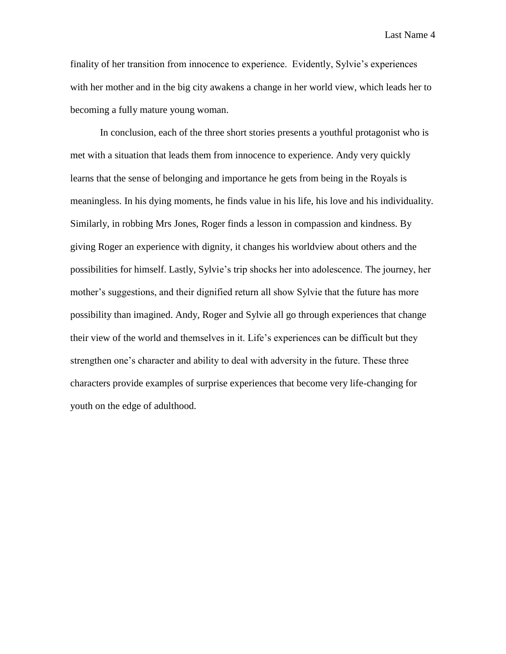Last Name 4

finality of her transition from innocence to experience. Evidently, Sylvie's experiences with her mother and in the big city awakens a change in her world view, which leads her to becoming a fully mature young woman.

In conclusion, each of the three short stories presents a youthful protagonist who is met with a situation that leads them from innocence to experience. Andy very quickly learns that the sense of belonging and importance he gets from being in the Royals is meaningless. In his dying moments, he finds value in his life, his love and his individuality. Similarly, in robbing Mrs Jones, Roger finds a lesson in compassion and kindness. By giving Roger an experience with dignity, it changes his worldview about others and the possibilities for himself. Lastly, Sylvie's trip shocks her into adolescence. The journey, her mother's suggestions, and their dignified return all show Sylvie that the future has more possibility than imagined. Andy, Roger and Sylvie all go through experiences that change their view of the world and themselves in it. Life's experiences can be difficult but they strengthen one's character and ability to deal with adversity in the future. These three characters provide examples of surprise experiences that become very life-changing for youth on the edge of adulthood.